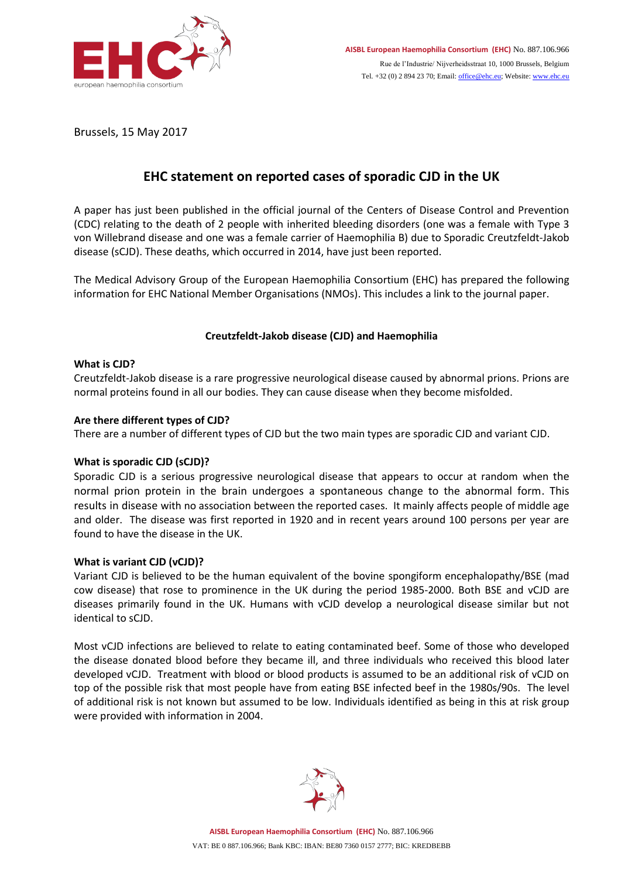

Brussels, 15 May 2017

# **EHC statement on reported cases of sporadic CJD in the UK**

A paper has just been published in the official journal of the Centers of Disease Control and Prevention (CDC) relating to the death of 2 people with inherited bleeding disorders (one was a female with Type 3 von Willebrand disease and one was a female carrier of Haemophilia B) due to Sporadic Creutzfeldt-Jakob disease (sCJD). These deaths, which occurred in 2014, have just been reported.

The Medical Advisory Group of the European Haemophilia Consortium (EHC) has prepared the following information for EHC National Member Organisations (NMOs). This includes a link to the journal paper.

## **Creutzfeldt-Jakob disease (CJD) and Haemophilia**

### **What is CJD?**

Creutzfeldt-Jakob disease is a rare progressive neurological disease caused by abnormal prions. Prions are normal proteins found in all our bodies. They can cause disease when they become misfolded.

## **Are there different types of CJD?**

There are a number of different types of CJD but the two main types are sporadic CJD and variant CJD.

### **What is sporadic CJD (sCJD)?**

Sporadic CJD is a serious progressive neurological disease that appears to occur at random when the normal prion protein in the brain undergoes a spontaneous change to the abnormal form. This results in disease with no association between the reported cases. It mainly affects people of middle age and older. The disease was first reported in 1920 and in recent years around 100 persons per year are found to have the disease in the UK.

### **What is variant CJD (vCJD)?**

Variant CJD is believed to be the human equivalent of the bovine spongiform encephalopathy/BSE (mad cow disease) that rose to prominence in the UK during the period 1985-2000. Both BSE and vCJD are diseases primarily found in the UK. Humans with vCJD develop a neurological disease similar but not identical to sCJD.

Most vCJD infections are believed to relate to eating contaminated beef. Some of those who developed the disease donated blood before they became ill, and three individuals who received this blood later developed vCJD. Treatment with blood or blood products is assumed to be an additional risk of vCJD on top of the possible risk that most people have from eating BSE infected beef in the 1980s/90s. The level of additional risk is not known but assumed to be low. Individuals identified as being in this at risk group were provided with information in 2004.